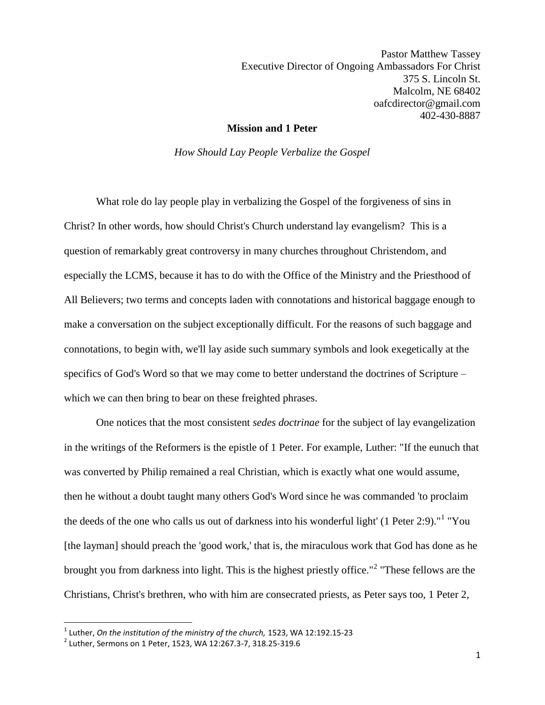Pastor Matthew Tassey Executive Director of Ongoing Ambassadors For Christ 375 S. Lincoln St. Malcolm, NE 68402 oafcdirector@gmail.com 402-430-8887

## **Mission and 1 Peter**

*How Should Lay People Verbalize the Gospel*

What role do lay people play in verbalizing the Gospel of the forgiveness of sins in Christ? In other words, how should Christ's Church understand lay evangelism? This is a question of remarkably great controversy in many churches throughout Christendom, and especially the LCMS, because it has to do with the Office of the Ministry and the Priesthood of All Believers; two terms and concepts laden with connotations and historical baggage enough to make a conversation on the subject exceptionally difficult. For the reasons of such baggage and connotations, to begin with, we'll lay aside such summary symbols and look exegetically at the specifics of God's Word so that we may come to better understand the doctrines of Scripture – which we can then bring to bear on these freighted phrases.

One notices that the most consistent *sedes doctrinae* for the subject of lay evangelization in the writings of the Reformers is the epistle of 1 Peter. For example, Luther: "If the eunuch that was converted by Philip remained a real Christian, which is exactly what one would assume, then he without a doubt taught many others God's Word since he was commanded 'to proclaim the deeds of the one who calls us out of darkness into his wonderful light' (1 Peter 2:9)."<sup>1</sup> "You [the layman] should preach the 'good work,' that is, the miraculous work that God has done as he brought you from darkness into light. This is the highest priestly office."<sup>2</sup> "These fellows are the Christians, Christ's brethren, who with him are consecrated priests, as Peter says too, 1 Peter 2,

 $\overline{\phantom{a}}$ 

<sup>1</sup> Luther, *On the institution of the ministry of the church,* 1523, WA 12:192.15-23

<sup>2</sup> Luther, Sermons on 1 Peter, 1523, WA 12:267.3-7, 318.25-319.6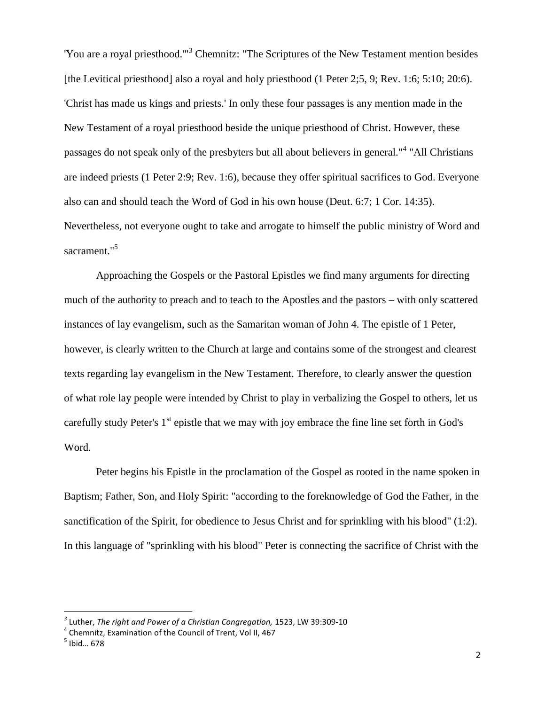'You are a royal priesthood.'"<sup>3</sup> Chemnitz: "The Scriptures of the New Testament mention besides [the Levitical priesthood] also a royal and holy priesthood (1 Peter 2;5, 9; Rev. 1:6; 5:10; 20:6). 'Christ has made us kings and priests.' In only these four passages is any mention made in the New Testament of a royal priesthood beside the unique priesthood of Christ. However, these passages do not speak only of the presbyters but all about believers in general."<sup>4</sup> "All Christians are indeed priests (1 Peter 2:9; Rev. 1:6), because they offer spiritual sacrifices to God. Everyone also can and should teach the Word of God in his own house (Deut. 6:7; 1 Cor. 14:35). Nevertheless, not everyone ought to take and arrogate to himself the public ministry of Word and sacrament."<sup>5</sup>

Approaching the Gospels or the Pastoral Epistles we find many arguments for directing much of the authority to preach and to teach to the Apostles and the pastors – with only scattered instances of lay evangelism, such as the Samaritan woman of John 4. The epistle of 1 Peter, however, is clearly written to the Church at large and contains some of the strongest and clearest texts regarding lay evangelism in the New Testament. Therefore, to clearly answer the question of what role lay people were intended by Christ to play in verbalizing the Gospel to others, let us carefully study Peter's  $1<sup>st</sup>$  epistle that we may with joy embrace the fine line set forth in God's Word.

Peter begins his Epistle in the proclamation of the Gospel as rooted in the name spoken in Baptism; Father, Son, and Holy Spirit: "according to the foreknowledge of God the Father, in the sanctification of the Spirit, for obedience to Jesus Christ and for sprinkling with his blood" (1:2). In this language of "sprinkling with his blood" Peter is connecting the sacrifice of Christ with the

*<sup>3</sup>* Luther, *The right and Power of a Christian Congregation,* 1523, LW 39:309-10

<sup>4</sup> Chemnitz, Examination of the Council of Trent, Vol II, 467

<sup>5</sup> Ibid… 678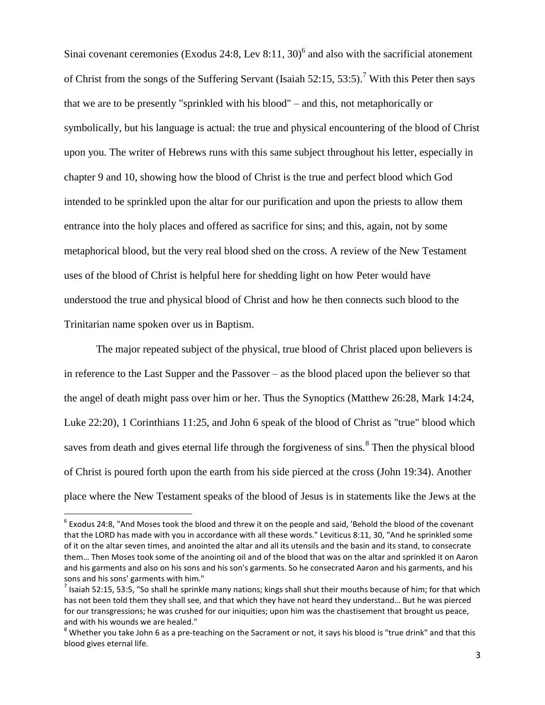Sinai covenant ceremonies (Exodus 24:8, Lev 8:11, 30) $^6$  and also with the sacrificial atonement of Christ from the songs of the Suffering Servant (Isaiah 52:15, 53:5).<sup>7</sup> With this Peter then says that we are to be presently "sprinkled with his blood" – and this, not metaphorically or symbolically, but his language is actual: the true and physical encountering of the blood of Christ upon you. The writer of Hebrews runs with this same subject throughout his letter, especially in chapter 9 and 10, showing how the blood of Christ is the true and perfect blood which God intended to be sprinkled upon the altar for our purification and upon the priests to allow them entrance into the holy places and offered as sacrifice for sins; and this, again, not by some metaphorical blood, but the very real blood shed on the cross. A review of the New Testament uses of the blood of Christ is helpful here for shedding light on how Peter would have understood the true and physical blood of Christ and how he then connects such blood to the Trinitarian name spoken over us in Baptism.

The major repeated subject of the physical, true blood of Christ placed upon believers is in reference to the Last Supper and the Passover – as the blood placed upon the believer so that the angel of death might pass over him or her. Thus the Synoptics (Matthew 26:28, Mark 14:24, Luke 22:20), 1 Corinthians 11:25, and John 6 speak of the blood of Christ as "true" blood which saves from death and gives eternal life through the forgiveness of sins.<sup>8</sup> Then the physical blood of Christ is poured forth upon the earth from his side pierced at the cross (John 19:34). Another place where the New Testament speaks of the blood of Jesus is in statements like the Jews at the

 $^6$  Exodus 24:8, "And Moses took the blood and threw it on the people and said, 'Behold the blood of the covenant that the LORD has made with you in accordance with all these words." Leviticus 8:11, 30, "And he sprinkled some of it on the altar seven times, and anointed the altar and all its utensils and the basin and its stand, to consecrate them… Then Moses took some of the anointing oil and of the blood that was on the altar and sprinkled it on Aaron and his garments and also on his sons and his son's garments. So he consecrated Aaron and his garments, and his sons and his sons' garments with him."

<sup>&</sup>lt;sup>7</sup> Isaiah 52:15, 53:5, "So shall he sprinkle many nations; kings shall shut their mouths because of him; for that which has not been told them they shall see, and that which they have not heard they understand… But he was pierced for our transgressions; he was crushed for our iniquities; upon him was the chastisement that brought us peace, and with his wounds we are healed."

 $8$  Whether you take John 6 as a pre-teaching on the Sacrament or not, it says his blood is "true drink" and that this blood gives eternal life.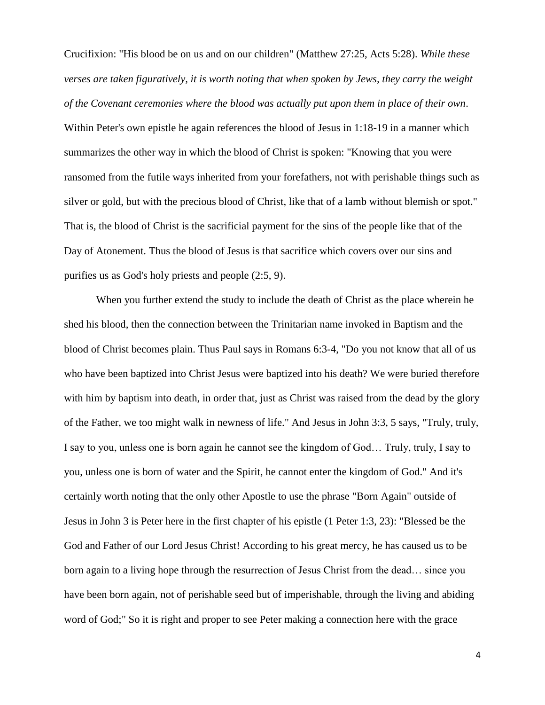Crucifixion: "His blood be on us and on our children" (Matthew 27:25, Acts 5:28). *While these verses are taken figuratively, it is worth noting that when spoken by Jews, they carry the weight of the Covenant ceremonies where the blood was actually put upon them in place of their own*. Within Peter's own epistle he again references the blood of Jesus in 1:18-19 in a manner which summarizes the other way in which the blood of Christ is spoken: "Knowing that you were ransomed from the futile ways inherited from your forefathers, not with perishable things such as silver or gold, but with the precious blood of Christ, like that of a lamb without blemish or spot." That is, the blood of Christ is the sacrificial payment for the sins of the people like that of the Day of Atonement. Thus the blood of Jesus is that sacrifice which covers over our sins and purifies us as God's holy priests and people (2:5, 9).

When you further extend the study to include the death of Christ as the place wherein he shed his blood, then the connection between the Trinitarian name invoked in Baptism and the blood of Christ becomes plain. Thus Paul says in Romans 6:3-4, "Do you not know that all of us who have been baptized into Christ Jesus were baptized into his death? We were buried therefore with him by baptism into death, in order that, just as Christ was raised from the dead by the glory of the Father, we too might walk in newness of life." And Jesus in John 3:3, 5 says, "Truly, truly, I say to you, unless one is born again he cannot see the kingdom of God… Truly, truly, I say to you, unless one is born of water and the Spirit, he cannot enter the kingdom of God." And it's certainly worth noting that the only other Apostle to use the phrase "Born Again" outside of Jesus in John 3 is Peter here in the first chapter of his epistle (1 Peter 1:3, 23): "Blessed be the God and Father of our Lord Jesus Christ! According to his great mercy, he has caused us to be born again to a living hope through the resurrection of Jesus Christ from the dead… since you have been born again, not of perishable seed but of imperishable, through the living and abiding word of God;" So it is right and proper to see Peter making a connection here with the grace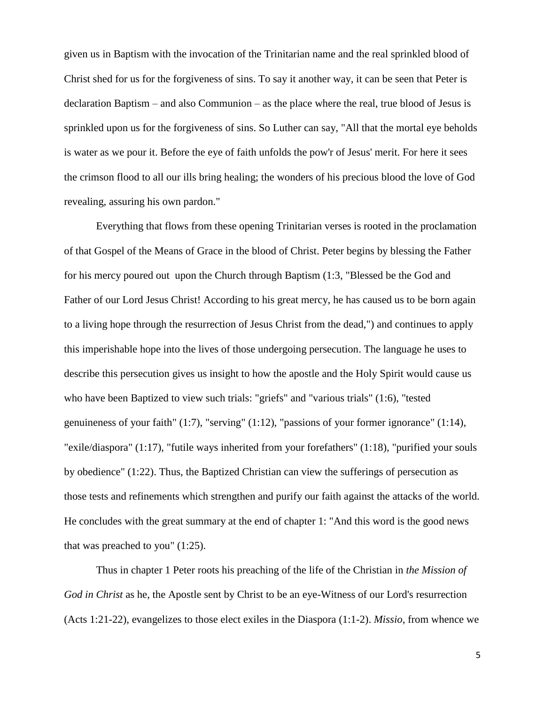given us in Baptism with the invocation of the Trinitarian name and the real sprinkled blood of Christ shed for us for the forgiveness of sins. To say it another way, it can be seen that Peter is declaration Baptism – and also Communion – as the place where the real, true blood of Jesus is sprinkled upon us for the forgiveness of sins. So Luther can say, "All that the mortal eye beholds is water as we pour it. Before the eye of faith unfolds the pow'r of Jesus' merit. For here it sees the crimson flood to all our ills bring healing; the wonders of his precious blood the love of God revealing, assuring his own pardon."

Everything that flows from these opening Trinitarian verses is rooted in the proclamation of that Gospel of the Means of Grace in the blood of Christ. Peter begins by blessing the Father for his mercy poured out upon the Church through Baptism (1:3, "Blessed be the God and Father of our Lord Jesus Christ! According to his great mercy, he has caused us to be born again to a living hope through the resurrection of Jesus Christ from the dead,") and continues to apply this imperishable hope into the lives of those undergoing persecution. The language he uses to describe this persecution gives us insight to how the apostle and the Holy Spirit would cause us who have been Baptized to view such trials: "griefs" and "various trials" (1:6), "tested genuineness of your faith" (1:7), "serving" (1:12), "passions of your former ignorance" (1:14), "exile/diaspora" (1:17), "futile ways inherited from your forefathers" (1:18), "purified your souls by obedience" (1:22). Thus, the Baptized Christian can view the sufferings of persecution as those tests and refinements which strengthen and purify our faith against the attacks of the world. He concludes with the great summary at the end of chapter 1: "And this word is the good news that was preached to you" (1:25).

Thus in chapter 1 Peter roots his preaching of the life of the Christian in *the Mission of God in Christ* as he, the Apostle sent by Christ to be an eye-Witness of our Lord's resurrection (Acts 1:21-22), evangelizes to those elect exiles in the Diaspora (1:1-2). *Missio*, from whence we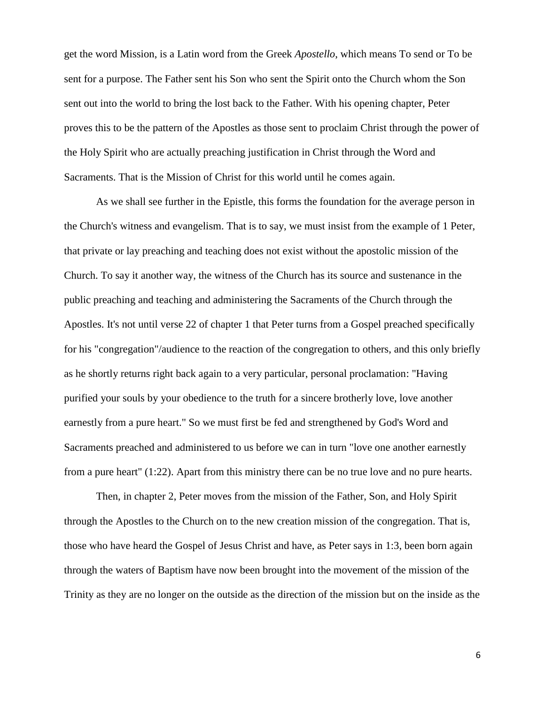get the word Mission, is a Latin word from the Greek *Apostello*, which means To send or To be sent for a purpose. The Father sent his Son who sent the Spirit onto the Church whom the Son sent out into the world to bring the lost back to the Father. With his opening chapter, Peter proves this to be the pattern of the Apostles as those sent to proclaim Christ through the power of the Holy Spirit who are actually preaching justification in Christ through the Word and Sacraments. That is the Mission of Christ for this world until he comes again.

As we shall see further in the Epistle, this forms the foundation for the average person in the Church's witness and evangelism. That is to say, we must insist from the example of 1 Peter, that private or lay preaching and teaching does not exist without the apostolic mission of the Church. To say it another way, the witness of the Church has its source and sustenance in the public preaching and teaching and administering the Sacraments of the Church through the Apostles. It's not until verse 22 of chapter 1 that Peter turns from a Gospel preached specifically for his "congregation"/audience to the reaction of the congregation to others, and this only briefly as he shortly returns right back again to a very particular, personal proclamation: "Having purified your souls by your obedience to the truth for a sincere brotherly love, love another earnestly from a pure heart." So we must first be fed and strengthened by God's Word and Sacraments preached and administered to us before we can in turn "love one another earnestly from a pure heart" (1:22). Apart from this ministry there can be no true love and no pure hearts.

Then, in chapter 2, Peter moves from the mission of the Father, Son, and Holy Spirit through the Apostles to the Church on to the new creation mission of the congregation. That is, those who have heard the Gospel of Jesus Christ and have, as Peter says in 1:3, been born again through the waters of Baptism have now been brought into the movement of the mission of the Trinity as they are no longer on the outside as the direction of the mission but on the inside as the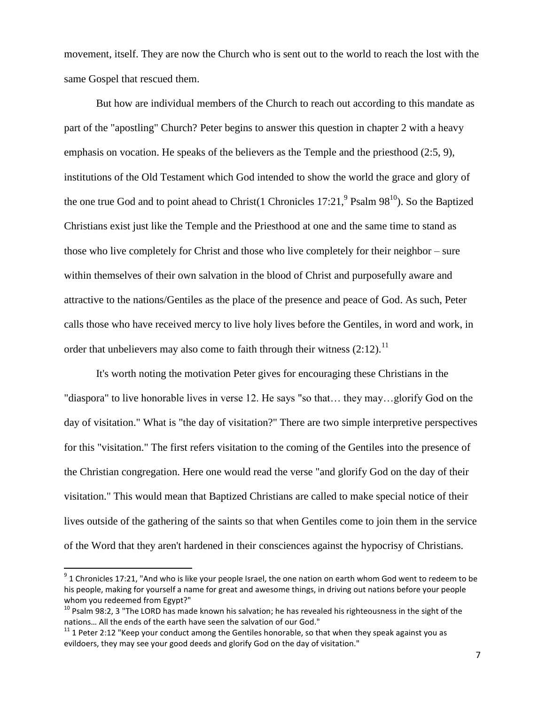movement, itself. They are now the Church who is sent out to the world to reach the lost with the same Gospel that rescued them.

But how are individual members of the Church to reach out according to this mandate as part of the "apostling" Church? Peter begins to answer this question in chapter 2 with a heavy emphasis on vocation. He speaks of the believers as the Temple and the priesthood (2:5, 9), institutions of the Old Testament which God intended to show the world the grace and glory of the one true God and to point ahead to Christ $(1 \text{ Chronicles } 17:21, ^9 \text{Psalm } 98^{10})$ . So the Baptized Christians exist just like the Temple and the Priesthood at one and the same time to stand as those who live completely for Christ and those who live completely for their neighbor – sure within themselves of their own salvation in the blood of Christ and purposefully aware and attractive to the nations/Gentiles as the place of the presence and peace of God. As such, Peter calls those who have received mercy to live holy lives before the Gentiles, in word and work, in order that unbelievers may also come to faith through their witness  $(2:12)$ .<sup>11</sup>

It's worth noting the motivation Peter gives for encouraging these Christians in the "diaspora" to live honorable lives in verse 12. He says "so that… they may…glorify God on the day of visitation." What is "the day of visitation?" There are two simple interpretive perspectives for this "visitation." The first refers visitation to the coming of the Gentiles into the presence of the Christian congregation. Here one would read the verse "and glorify God on the day of their visitation." This would mean that Baptized Christians are called to make special notice of their lives outside of the gathering of the saints so that when Gentiles come to join them in the service of the Word that they aren't hardened in their consciences against the hypocrisy of Christians.

 $\overline{\phantom{a}}$ 

 $9$  1 Chronicles 17:21, "And who is like your people Israel, the one nation on earth whom God went to redeem to be his people, making for yourself a name for great and awesome things, in driving out nations before your people whom you redeemed from Egypt?"

<sup>&</sup>lt;sup>10</sup> Psalm 98:2, 3 "The LORD has made known his salvation; he has revealed his righteousness in the sight of the nations… All the ends of the earth have seen the salvation of our God."

 $11$  1 Peter 2:12 "Keep your conduct among the Gentiles honorable, so that when they speak against you as evildoers, they may see your good deeds and glorify God on the day of visitation."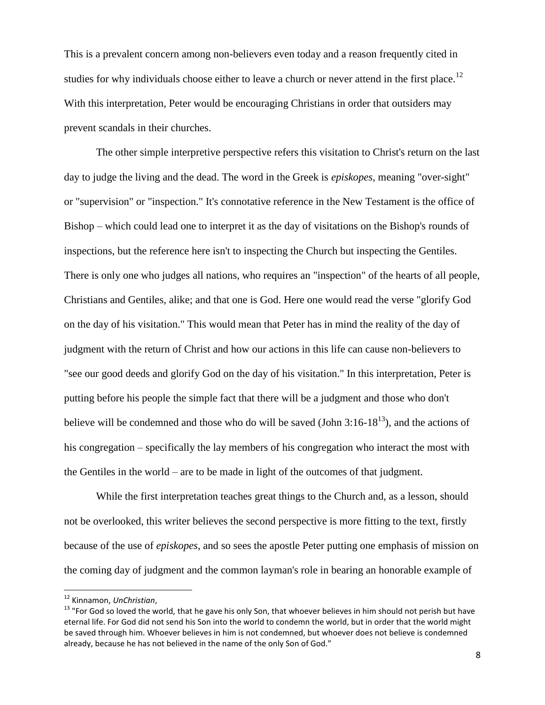This is a prevalent concern among non-believers even today and a reason frequently cited in studies for why individuals choose either to leave a church or never attend in the first place.<sup>12</sup> With this interpretation, Peter would be encouraging Christians in order that outsiders may prevent scandals in their churches.

The other simple interpretive perspective refers this visitation to Christ's return on the last day to judge the living and the dead. The word in the Greek is *episkopes*, meaning "over-sight" or "supervision" or "inspection." It's connotative reference in the New Testament is the office of Bishop – which could lead one to interpret it as the day of visitations on the Bishop's rounds of inspections, but the reference here isn't to inspecting the Church but inspecting the Gentiles. There is only one who judges all nations, who requires an "inspection" of the hearts of all people, Christians and Gentiles, alike; and that one is God. Here one would read the verse "glorify God on the day of his visitation." This would mean that Peter has in mind the reality of the day of judgment with the return of Christ and how our actions in this life can cause non-believers to "see our good deeds and glorify God on the day of his visitation." In this interpretation, Peter is putting before his people the simple fact that there will be a judgment and those who don't believe will be condemned and those who do will be saved (John  $3:16-18^{13}$ ), and the actions of his congregation – specifically the lay members of his congregation who interact the most with the Gentiles in the world – are to be made in light of the outcomes of that judgment.

While the first interpretation teaches great things to the Church and, as a lesson, should not be overlooked, this writer believes the second perspective is more fitting to the text, firstly because of the use of *episkopes*, and so sees the apostle Peter putting one emphasis of mission on the coming day of judgment and the common layman's role in bearing an honorable example of

<sup>12</sup> Kinnamon, *UnChristian*,

<sup>&</sup>lt;sup>13</sup> "For God so loved the world, that he gave his only Son, that whoever believes in him should not perish but have eternal life. For God did not send his Son into the world to condemn the world, but in order that the world might be saved through him. Whoever believes in him is not condemned, but whoever does not believe is condemned already, because he has not believed in the name of the only Son of God."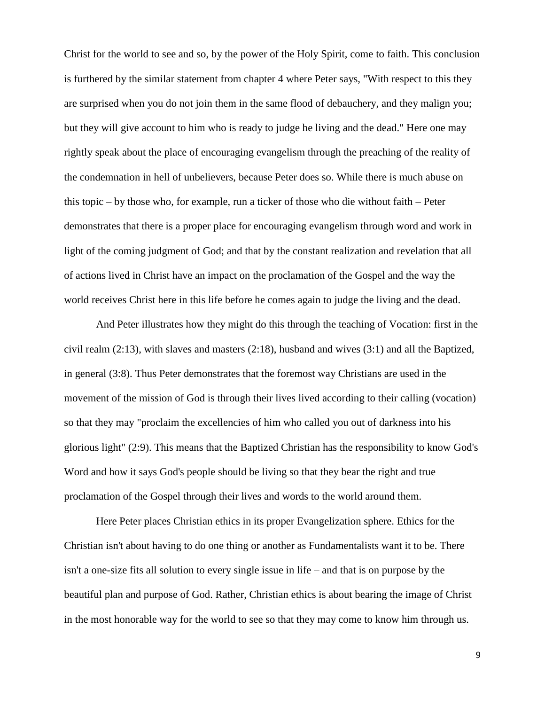Christ for the world to see and so, by the power of the Holy Spirit, come to faith. This conclusion is furthered by the similar statement from chapter 4 where Peter says, "With respect to this they are surprised when you do not join them in the same flood of debauchery, and they malign you; but they will give account to him who is ready to judge he living and the dead." Here one may rightly speak about the place of encouraging evangelism through the preaching of the reality of the condemnation in hell of unbelievers, because Peter does so. While there is much abuse on this topic – by those who, for example, run a ticker of those who die without faith – Peter demonstrates that there is a proper place for encouraging evangelism through word and work in light of the coming judgment of God; and that by the constant realization and revelation that all of actions lived in Christ have an impact on the proclamation of the Gospel and the way the world receives Christ here in this life before he comes again to judge the living and the dead.

And Peter illustrates how they might do this through the teaching of Vocation: first in the civil realm (2:13), with slaves and masters (2:18), husband and wives (3:1) and all the Baptized, in general (3:8). Thus Peter demonstrates that the foremost way Christians are used in the movement of the mission of God is through their lives lived according to their calling (vocation) so that they may "proclaim the excellencies of him who called you out of darkness into his glorious light" (2:9). This means that the Baptized Christian has the responsibility to know God's Word and how it says God's people should be living so that they bear the right and true proclamation of the Gospel through their lives and words to the world around them.

Here Peter places Christian ethics in its proper Evangelization sphere. Ethics for the Christian isn't about having to do one thing or another as Fundamentalists want it to be. There isn't a one-size fits all solution to every single issue in life – and that is on purpose by the beautiful plan and purpose of God. Rather, Christian ethics is about bearing the image of Christ in the most honorable way for the world to see so that they may come to know him through us.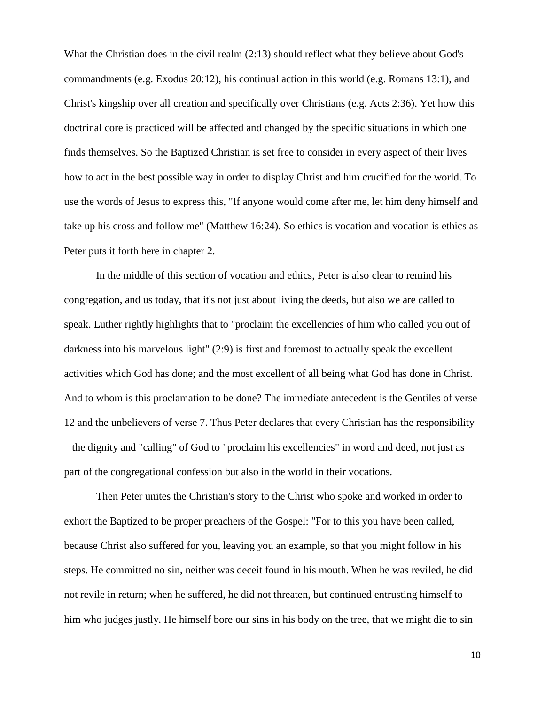What the Christian does in the civil realm (2:13) should reflect what they believe about God's commandments (e.g. Exodus 20:12), his continual action in this world (e.g. Romans 13:1), and Christ's kingship over all creation and specifically over Christians (e.g. Acts 2:36). Yet how this doctrinal core is practiced will be affected and changed by the specific situations in which one finds themselves. So the Baptized Christian is set free to consider in every aspect of their lives how to act in the best possible way in order to display Christ and him crucified for the world. To use the words of Jesus to express this, "If anyone would come after me, let him deny himself and take up his cross and follow me" (Matthew 16:24). So ethics is vocation and vocation is ethics as Peter puts it forth here in chapter 2.

In the middle of this section of vocation and ethics, Peter is also clear to remind his congregation, and us today, that it's not just about living the deeds, but also we are called to speak. Luther rightly highlights that to "proclaim the excellencies of him who called you out of darkness into his marvelous light" (2:9) is first and foremost to actually speak the excellent activities which God has done; and the most excellent of all being what God has done in Christ. And to whom is this proclamation to be done? The immediate antecedent is the Gentiles of verse 12 and the unbelievers of verse 7. Thus Peter declares that every Christian has the responsibility – the dignity and "calling" of God to "proclaim his excellencies" in word and deed, not just as part of the congregational confession but also in the world in their vocations.

Then Peter unites the Christian's story to the Christ who spoke and worked in order to exhort the Baptized to be proper preachers of the Gospel: "For to this you have been called, because Christ also suffered for you, leaving you an example, so that you might follow in his steps. He committed no sin, neither was deceit found in his mouth. When he was reviled, he did not revile in return; when he suffered, he did not threaten, but continued entrusting himself to him who judges justly. He himself bore our sins in his body on the tree, that we might die to sin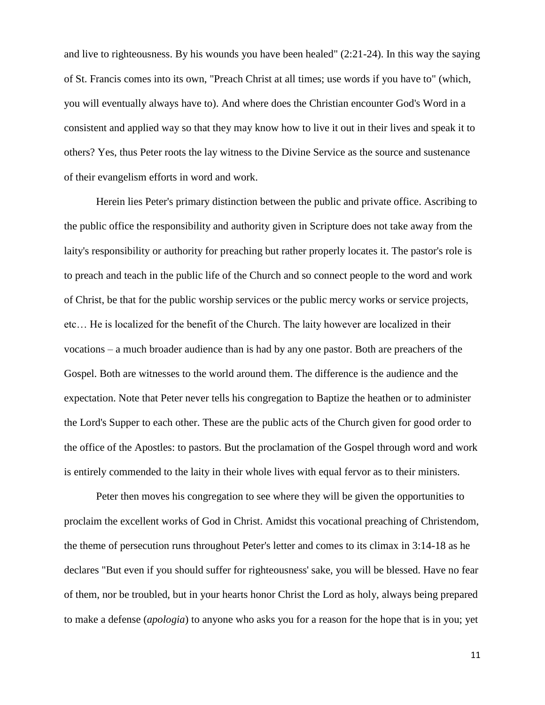and live to righteousness. By his wounds you have been healed" (2:21-24). In this way the saying of St. Francis comes into its own, "Preach Christ at all times; use words if you have to" (which, you will eventually always have to). And where does the Christian encounter God's Word in a consistent and applied way so that they may know how to live it out in their lives and speak it to others? Yes, thus Peter roots the lay witness to the Divine Service as the source and sustenance of their evangelism efforts in word and work.

Herein lies Peter's primary distinction between the public and private office. Ascribing to the public office the responsibility and authority given in Scripture does not take away from the laity's responsibility or authority for preaching but rather properly locates it. The pastor's role is to preach and teach in the public life of the Church and so connect people to the word and work of Christ, be that for the public worship services or the public mercy works or service projects, etc… He is localized for the benefit of the Church. The laity however are localized in their vocations – a much broader audience than is had by any one pastor. Both are preachers of the Gospel. Both are witnesses to the world around them. The difference is the audience and the expectation. Note that Peter never tells his congregation to Baptize the heathen or to administer the Lord's Supper to each other. These are the public acts of the Church given for good order to the office of the Apostles: to pastors. But the proclamation of the Gospel through word and work is entirely commended to the laity in their whole lives with equal fervor as to their ministers.

Peter then moves his congregation to see where they will be given the opportunities to proclaim the excellent works of God in Christ. Amidst this vocational preaching of Christendom, the theme of persecution runs throughout Peter's letter and comes to its climax in 3:14-18 as he declares "But even if you should suffer for righteousness' sake, you will be blessed. Have no fear of them, nor be troubled, but in your hearts honor Christ the Lord as holy, always being prepared to make a defense (*apologia*) to anyone who asks you for a reason for the hope that is in you; yet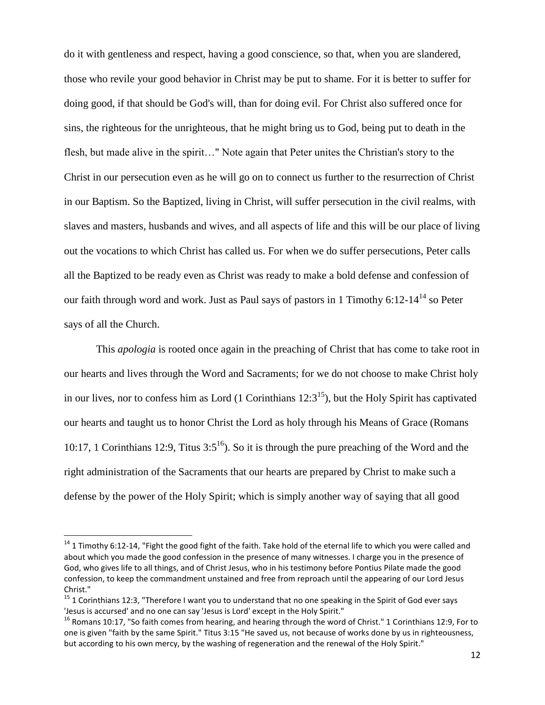do it with gentleness and respect, having a good conscience, so that, when you are slandered, those who revile your good behavior in Christ may be put to shame. For it is better to suffer for doing good, if that should be God's will, than for doing evil. For Christ also suffered once for sins, the righteous for the unrighteous, that he might bring us to God, being put to death in the flesh, but made alive in the spirit…" Note again that Peter unites the Christian's story to the Christ in our persecution even as he will go on to connect us further to the resurrection of Christ in our Baptism. So the Baptized, living in Christ, will suffer persecution in the civil realms, with slaves and masters, husbands and wives, and all aspects of life and this will be our place of living out the vocations to which Christ has called us. For when we do suffer persecutions, Peter calls all the Baptized to be ready even as Christ was ready to make a bold defense and confession of our faith through word and work. Just as Paul says of pastors in 1 Timothy 6:12-14<sup>14</sup> so Peter says of all the Church.

This *apologia* is rooted once again in the preaching of Christ that has come to take root in our hearts and lives through the Word and Sacraments; for we do not choose to make Christ holy in our lives, nor to confess him as Lord  $(1$  Corinthians  $12:3^{15}$ ), but the Holy Spirit has captivated our hearts and taught us to honor Christ the Lord as holy through his Means of Grace (Romans 10:17, 1 Corinthians 12:9, Titus  $3:5^{16}$ ). So it is through the pure preaching of the Word and the right administration of the Sacraments that our hearts are prepared by Christ to make such a defense by the power of the Holy Spirit; which is simply another way of saying that all good

 $14$  1 Timothy 6:12-14, "Fight the good fight of the faith. Take hold of the eternal life to which you were called and about which you made the good confession in the presence of many witnesses. I charge you in the presence of God, who gives life to all things, and of Christ Jesus, who in his testimony before Pontius Pilate made the good confession, to keep the commandment unstained and free from reproach until the appearing of our Lord Jesus Christ."

<sup>&</sup>lt;sup>15</sup> 1 Corinthians 12:3, "Therefore I want you to understand that no one speaking in the Spirit of God ever says 'Jesus is accursed' and no one can say 'Jesus is Lord' except in the Holy Spirit."

 $16$  Romans 10:17, "So faith comes from hearing, and hearing through the word of Christ." 1 Corinthians 12:9, For to one is given "faith by the same Spirit." Titus 3:15 "He saved us, not because of works done by us in righteousness, but according to his own mercy, by the washing of regeneration and the renewal of the Holy Spirit."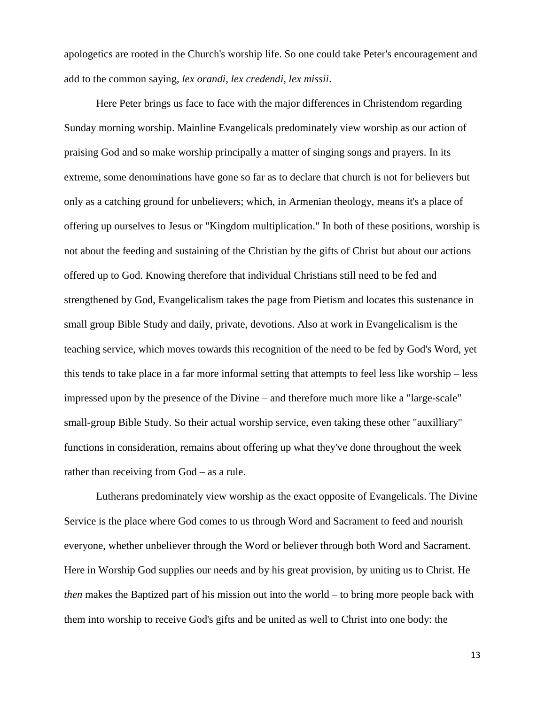apologetics are rooted in the Church's worship life. So one could take Peter's encouragement and add to the common saying, *lex orandi, lex credendi, lex missii*.

Here Peter brings us face to face with the major differences in Christendom regarding Sunday morning worship. Mainline Evangelicals predominately view worship as our action of praising God and so make worship principally a matter of singing songs and prayers. In its extreme, some denominations have gone so far as to declare that church is not for believers but only as a catching ground for unbelievers; which, in Armenian theology, means it's a place of offering up ourselves to Jesus or "Kingdom multiplication." In both of these positions, worship is not about the feeding and sustaining of the Christian by the gifts of Christ but about our actions offered up to God. Knowing therefore that individual Christians still need to be fed and strengthened by God, Evangelicalism takes the page from Pietism and locates this sustenance in small group Bible Study and daily, private, devotions. Also at work in Evangelicalism is the teaching service, which moves towards this recognition of the need to be fed by God's Word, yet this tends to take place in a far more informal setting that attempts to feel less like worship – less impressed upon by the presence of the Divine – and therefore much more like a "large-scale" small-group Bible Study. So their actual worship service, even taking these other "auxilliary" functions in consideration, remains about offering up what they've done throughout the week rather than receiving from God – as a rule.

Lutherans predominately view worship as the exact opposite of Evangelicals. The Divine Service is the place where God comes to us through Word and Sacrament to feed and nourish everyone, whether unbeliever through the Word or believer through both Word and Sacrament. Here in Worship God supplies our needs and by his great provision, by uniting us to Christ. He *then* makes the Baptized part of his mission out into the world – to bring more people back with them into worship to receive God's gifts and be united as well to Christ into one body: the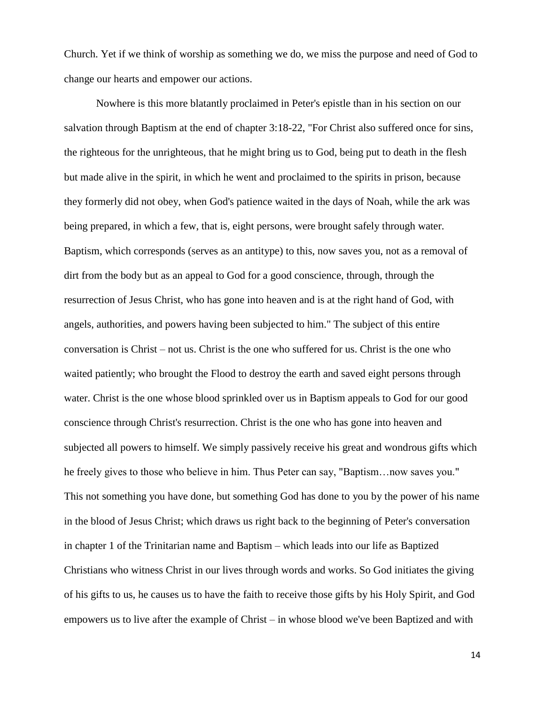Church. Yet if we think of worship as something we do, we miss the purpose and need of God to change our hearts and empower our actions.

Nowhere is this more blatantly proclaimed in Peter's epistle than in his section on our salvation through Baptism at the end of chapter 3:18-22, "For Christ also suffered once for sins, the righteous for the unrighteous, that he might bring us to God, being put to death in the flesh but made alive in the spirit, in which he went and proclaimed to the spirits in prison, because they formerly did not obey, when God's patience waited in the days of Noah, while the ark was being prepared, in which a few, that is, eight persons, were brought safely through water. Baptism, which corresponds (serves as an antitype) to this, now saves you, not as a removal of dirt from the body but as an appeal to God for a good conscience, through, through the resurrection of Jesus Christ, who has gone into heaven and is at the right hand of God, with angels, authorities, and powers having been subjected to him." The subject of this entire conversation is Christ – not us. Christ is the one who suffered for us. Christ is the one who waited patiently; who brought the Flood to destroy the earth and saved eight persons through water. Christ is the one whose blood sprinkled over us in Baptism appeals to God for our good conscience through Christ's resurrection. Christ is the one who has gone into heaven and subjected all powers to himself. We simply passively receive his great and wondrous gifts which he freely gives to those who believe in him. Thus Peter can say, "Baptism…now saves you." This not something you have done, but something God has done to you by the power of his name in the blood of Jesus Christ; which draws us right back to the beginning of Peter's conversation in chapter 1 of the Trinitarian name and Baptism – which leads into our life as Baptized Christians who witness Christ in our lives through words and works. So God initiates the giving of his gifts to us, he causes us to have the faith to receive those gifts by his Holy Spirit, and God empowers us to live after the example of Christ – in whose blood we've been Baptized and with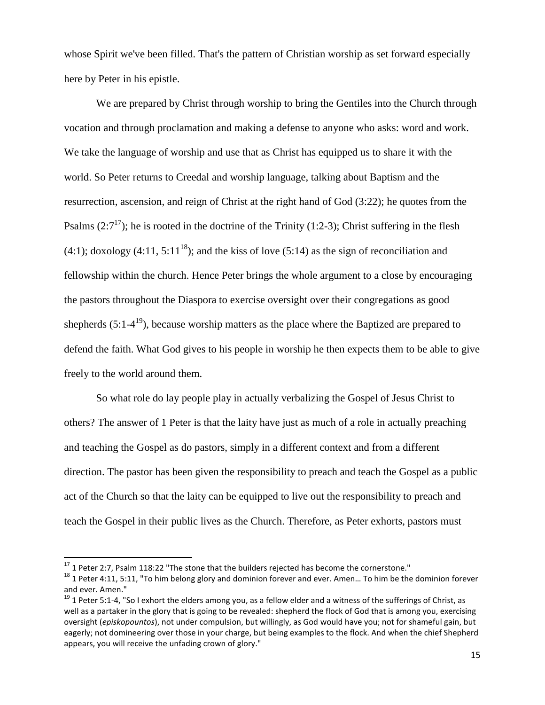whose Spirit we've been filled. That's the pattern of Christian worship as set forward especially here by Peter in his epistle.

We are prepared by Christ through worship to bring the Gentiles into the Church through vocation and through proclamation and making a defense to anyone who asks: word and work. We take the language of worship and use that as Christ has equipped us to share it with the world. So Peter returns to Creedal and worship language, talking about Baptism and the resurrection, ascension, and reign of Christ at the right hand of God (3:22); he quotes from the Psalms  $(2:7^{17})$ ; he is rooted in the doctrine of the Trinity (1:2-3); Christ suffering in the flesh (4:1); doxology (4:11, 5:11<sup>18</sup>); and the kiss of love (5:14) as the sign of reconciliation and fellowship within the church. Hence Peter brings the whole argument to a close by encouraging the pastors throughout the Diaspora to exercise oversight over their congregations as good shepherds  $(5:1-4^{19})$ , because worship matters as the place where the Baptized are prepared to defend the faith. What God gives to his people in worship he then expects them to be able to give freely to the world around them.

So what role do lay people play in actually verbalizing the Gospel of Jesus Christ to others? The answer of 1 Peter is that the laity have just as much of a role in actually preaching and teaching the Gospel as do pastors, simply in a different context and from a different direction. The pastor has been given the responsibility to preach and teach the Gospel as a public act of the Church so that the laity can be equipped to live out the responsibility to preach and teach the Gospel in their public lives as the Church. Therefore, as Peter exhorts, pastors must

 $\overline{\phantom{a}}$ 

 $^{17}$  1 Peter 2:7, Psalm 118:22 "The stone that the builders rejected has become the cornerstone."

<sup>&</sup>lt;sup>18</sup> 1 Peter 4:11, 5:11, "To him belong glory and dominion forever and ever. Amen... To him be the dominion forever and ever. Amen."

 $19$  1 Peter 5:1-4, "So I exhort the elders among you, as a fellow elder and a witness of the sufferings of Christ, as well as a partaker in the glory that is going to be revealed: shepherd the flock of God that is among you, exercising oversight (*episkopountos*), not under compulsion, but willingly, as God would have you; not for shameful gain, but eagerly; not domineering over those in your charge, but being examples to the flock. And when the chief Shepherd appears, you will receive the unfading crown of glory."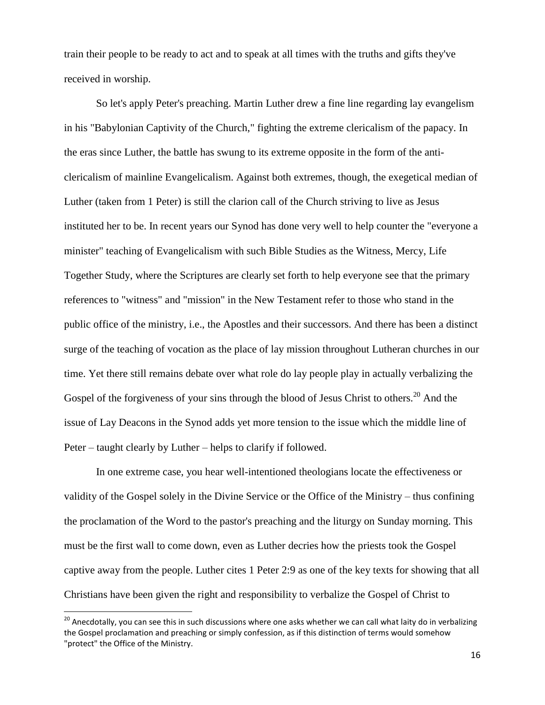train their people to be ready to act and to speak at all times with the truths and gifts they've received in worship.

So let's apply Peter's preaching. Martin Luther drew a fine line regarding lay evangelism in his "Babylonian Captivity of the Church," fighting the extreme clericalism of the papacy. In the eras since Luther, the battle has swung to its extreme opposite in the form of the anticlericalism of mainline Evangelicalism. Against both extremes, though, the exegetical median of Luther (taken from 1 Peter) is still the clarion call of the Church striving to live as Jesus instituted her to be. In recent years our Synod has done very well to help counter the "everyone a minister" teaching of Evangelicalism with such Bible Studies as the Witness, Mercy, Life Together Study, where the Scriptures are clearly set forth to help everyone see that the primary references to "witness" and "mission" in the New Testament refer to those who stand in the public office of the ministry, i.e., the Apostles and their successors. And there has been a distinct surge of the teaching of vocation as the place of lay mission throughout Lutheran churches in our time. Yet there still remains debate over what role do lay people play in actually verbalizing the Gospel of the forgiveness of your sins through the blood of Jesus Christ to others.<sup>20</sup> And the issue of Lay Deacons in the Synod adds yet more tension to the issue which the middle line of Peter – taught clearly by Luther – helps to clarify if followed.

In one extreme case, you hear well-intentioned theologians locate the effectiveness or validity of the Gospel solely in the Divine Service or the Office of the Ministry – thus confining the proclamation of the Word to the pastor's preaching and the liturgy on Sunday morning. This must be the first wall to come down, even as Luther decries how the priests took the Gospel captive away from the people. Luther cites 1 Peter 2:9 as one of the key texts for showing that all Christians have been given the right and responsibility to verbalize the Gospel of Christ to

 $^{20}$  Anecdotally, you can see this in such discussions where one asks whether we can call what laity do in verbalizing the Gospel proclamation and preaching or simply confession, as if this distinction of terms would somehow "protect" the Office of the Ministry.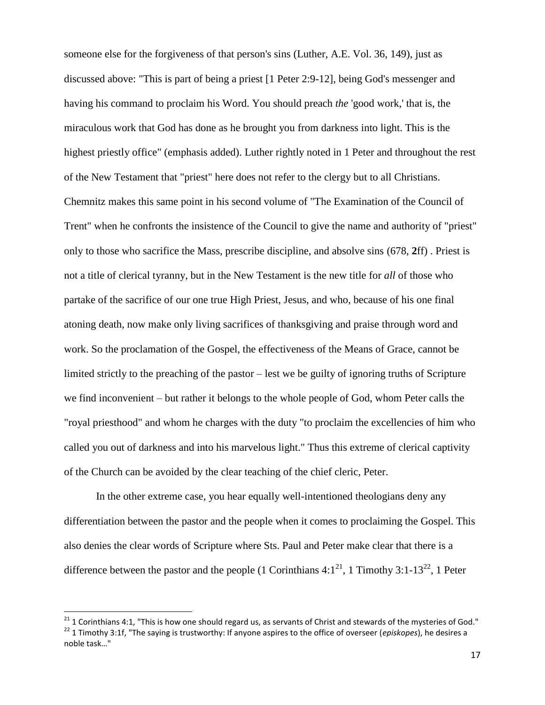someone else for the forgiveness of that person's sins (Luther, A.E. Vol. 36, 149), just as discussed above: "This is part of being a priest [1 Peter 2:9-12], being God's messenger and having his command to proclaim his Word. You should preach *the* 'good work,' that is, the miraculous work that God has done as he brought you from darkness into light. This is the highest priestly office" (emphasis added). Luther rightly noted in 1 Peter and throughout the rest of the New Testament that "priest" here does not refer to the clergy but to all Christians. Chemnitz makes this same point in his second volume of "The Examination of the Council of Trent" when he confronts the insistence of the Council to give the name and authority of "priest" only to those who sacrifice the Mass, prescribe discipline, and absolve sins (678, **2**ff) . Priest is not a title of clerical tyranny, but in the New Testament is the new title for *all* of those who partake of the sacrifice of our one true High Priest, Jesus, and who, because of his one final atoning death, now make only living sacrifices of thanksgiving and praise through word and work. So the proclamation of the Gospel, the effectiveness of the Means of Grace, cannot be limited strictly to the preaching of the pastor – lest we be guilty of ignoring truths of Scripture we find inconvenient – but rather it belongs to the whole people of God, whom Peter calls the "royal priesthood" and whom he charges with the duty "to proclaim the excellencies of him who called you out of darkness and into his marvelous light." Thus this extreme of clerical captivity of the Church can be avoided by the clear teaching of the chief cleric, Peter.

In the other extreme case, you hear equally well-intentioned theologians deny any differentiation between the pastor and the people when it comes to proclaiming the Gospel. This also denies the clear words of Scripture where Sts. Paul and Peter make clear that there is a difference between the pastor and the people (1 Corinthians  $4:1^{21}$ , 1 Timothy 3:1-13<sup>22</sup>, 1 Peter

 $^{21}$  1 Corinthians 4:1, "This is how one should regard us, as servants of Christ and stewards of the mysteries of God." <sup>22</sup> 1 Timothy 3:1f, "The saying is trustworthy: If anyone aspires to the office of overseer (*episkopes*), he desires a noble task…"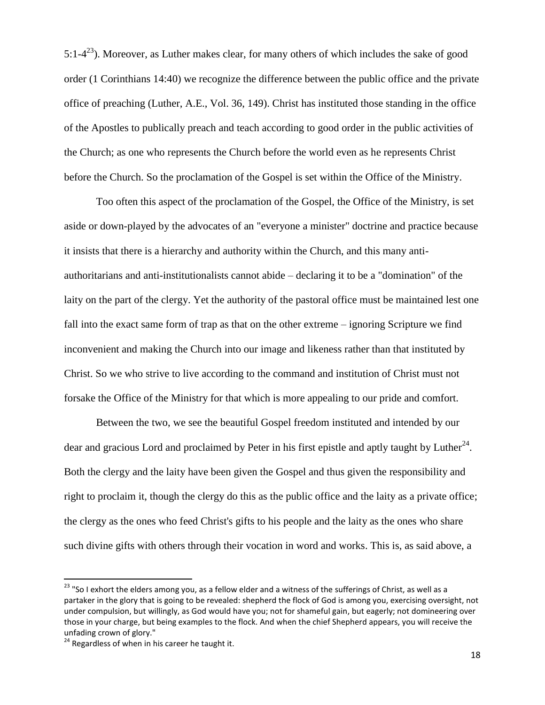5:1- $4^{23}$ ). Moreover, as Luther makes clear, for many others of which includes the sake of good order (1 Corinthians 14:40) we recognize the difference between the public office and the private office of preaching (Luther, A.E., Vol. 36, 149). Christ has instituted those standing in the office of the Apostles to publically preach and teach according to good order in the public activities of the Church; as one who represents the Church before the world even as he represents Christ before the Church. So the proclamation of the Gospel is set within the Office of the Ministry.

Too often this aspect of the proclamation of the Gospel, the Office of the Ministry, is set aside or down-played by the advocates of an "everyone a minister" doctrine and practice because it insists that there is a hierarchy and authority within the Church, and this many antiauthoritarians and anti-institutionalists cannot abide – declaring it to be a "domination" of the laity on the part of the clergy. Yet the authority of the pastoral office must be maintained lest one fall into the exact same form of trap as that on the other extreme – ignoring Scripture we find inconvenient and making the Church into our image and likeness rather than that instituted by Christ. So we who strive to live according to the command and institution of Christ must not forsake the Office of the Ministry for that which is more appealing to our pride and comfort.

Between the two, we see the beautiful Gospel freedom instituted and intended by our dear and gracious Lord and proclaimed by Peter in his first epistle and aptly taught by Luther<sup>24</sup>. Both the clergy and the laity have been given the Gospel and thus given the responsibility and right to proclaim it, though the clergy do this as the public office and the laity as a private office; the clergy as the ones who feed Christ's gifts to his people and the laity as the ones who share such divine gifts with others through their vocation in word and works. This is, as said above, a

l

<sup>&</sup>lt;sup>23</sup> "So I exhort the elders among you, as a fellow elder and a witness of the sufferings of Christ, as well as a partaker in the glory that is going to be revealed: shepherd the flock of God is among you, exercising oversight, not under compulsion, but willingly, as God would have you; not for shameful gain, but eagerly; not domineering over those in your charge, but being examples to the flock. And when the chief Shepherd appears, you will receive the unfading crown of glory."

<sup>&</sup>lt;sup>24</sup> Regardless of when in his career he taught it.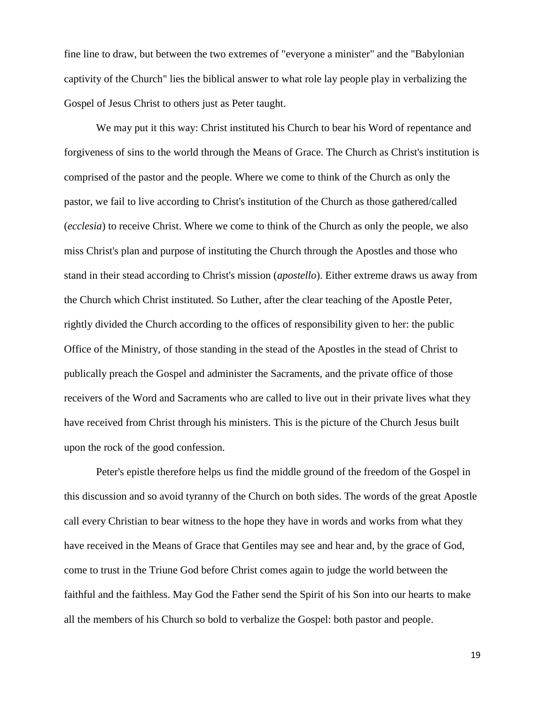fine line to draw, but between the two extremes of "everyone a minister" and the "Babylonian captivity of the Church" lies the biblical answer to what role lay people play in verbalizing the Gospel of Jesus Christ to others just as Peter taught.

We may put it this way: Christ instituted his Church to bear his Word of repentance and forgiveness of sins to the world through the Means of Grace. The Church as Christ's institution is comprised of the pastor and the people. Where we come to think of the Church as only the pastor, we fail to live according to Christ's institution of the Church as those gathered/called (*ecclesia*) to receive Christ. Where we come to think of the Church as only the people, we also miss Christ's plan and purpose of instituting the Church through the Apostles and those who stand in their stead according to Christ's mission (*apostello*). Either extreme draws us away from the Church which Christ instituted. So Luther, after the clear teaching of the Apostle Peter, rightly divided the Church according to the offices of responsibility given to her: the public Office of the Ministry, of those standing in the stead of the Apostles in the stead of Christ to publically preach the Gospel and administer the Sacraments, and the private office of those receivers of the Word and Sacraments who are called to live out in their private lives what they have received from Christ through his ministers. This is the picture of the Church Jesus built upon the rock of the good confession.

Peter's epistle therefore helps us find the middle ground of the freedom of the Gospel in this discussion and so avoid tyranny of the Church on both sides. The words of the great Apostle call every Christian to bear witness to the hope they have in words and works from what they have received in the Means of Grace that Gentiles may see and hear and, by the grace of God, come to trust in the Triune God before Christ comes again to judge the world between the faithful and the faithless. May God the Father send the Spirit of his Son into our hearts to make all the members of his Church so bold to verbalize the Gospel: both pastor and people.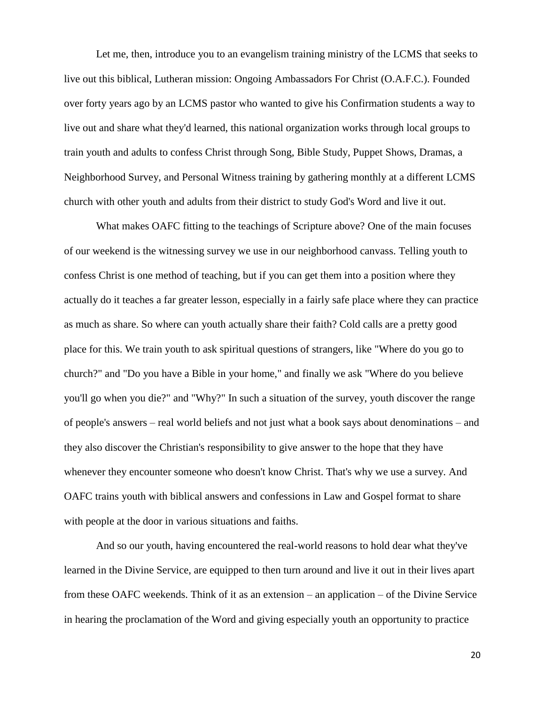Let me, then, introduce you to an evangelism training ministry of the LCMS that seeks to live out this biblical, Lutheran mission: Ongoing Ambassadors For Christ (O.A.F.C.). Founded over forty years ago by an LCMS pastor who wanted to give his Confirmation students a way to live out and share what they'd learned, this national organization works through local groups to train youth and adults to confess Christ through Song, Bible Study, Puppet Shows, Dramas, a Neighborhood Survey, and Personal Witness training by gathering monthly at a different LCMS church with other youth and adults from their district to study God's Word and live it out.

What makes OAFC fitting to the teachings of Scripture above? One of the main focuses of our weekend is the witnessing survey we use in our neighborhood canvass. Telling youth to confess Christ is one method of teaching, but if you can get them into a position where they actually do it teaches a far greater lesson, especially in a fairly safe place where they can practice as much as share. So where can youth actually share their faith? Cold calls are a pretty good place for this. We train youth to ask spiritual questions of strangers, like "Where do you go to church?" and "Do you have a Bible in your home," and finally we ask "Where do you believe you'll go when you die?" and "Why?" In such a situation of the survey, youth discover the range of people's answers – real world beliefs and not just what a book says about denominations – and they also discover the Christian's responsibility to give answer to the hope that they have whenever they encounter someone who doesn't know Christ. That's why we use a survey. And OAFC trains youth with biblical answers and confessions in Law and Gospel format to share with people at the door in various situations and faiths.

And so our youth, having encountered the real-world reasons to hold dear what they've learned in the Divine Service, are equipped to then turn around and live it out in their lives apart from these OAFC weekends. Think of it as an extension – an application – of the Divine Service in hearing the proclamation of the Word and giving especially youth an opportunity to practice